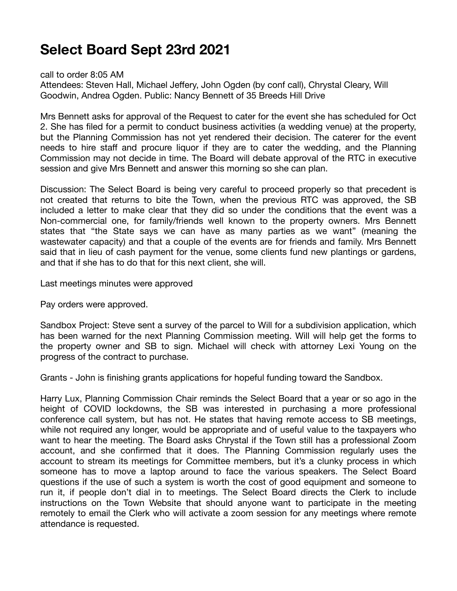## **Select Board Sept 23rd 2021**

call to order 8:05 AM

Attendees: Steven Hall, Michael Jeffery, John Ogden (by conf call), Chrystal Cleary, Will Goodwin, Andrea Ogden. Public: Nancy Bennett of 35 Breeds Hill Drive

Mrs Bennett asks for approval of the Request to cater for the event she has scheduled for Oct 2. She has filed for a permit to conduct business activities (a wedding venue) at the property, but the Planning Commission has not yet rendered their decision. The caterer for the event needs to hire staff and procure liquor if they are to cater the wedding, and the Planning Commission may not decide in time. The Board will debate approval of the RTC in executive session and give Mrs Bennett and answer this morning so she can plan.

Discussion: The Select Board is being very careful to proceed properly so that precedent is not created that returns to bite the Town, when the previous RTC was approved, the SB included a letter to make clear that they did so under the conditions that the event was a Non-commercial one, for family/friends well known to the property owners. Mrs Bennett states that "the State says we can have as many parties as we want" (meaning the wastewater capacity) and that a couple of the events are for friends and family. Mrs Bennett said that in lieu of cash payment for the venue, some clients fund new plantings or gardens, and that if she has to do that for this next client, she will.

Last meetings minutes were approved

Pay orders were approved.

Sandbox Project: Steve sent a survey of the parcel to Will for a subdivision application, which has been warned for the next Planning Commission meeting. Will will help get the forms to the property owner and SB to sign. Michael will check with attorney Lexi Young on the progress of the contract to purchase.

Grants - John is finishing grants applications for hopeful funding toward the Sandbox.

Harry Lux, Planning Commission Chair reminds the Select Board that a year or so ago in the height of COVID lockdowns, the SB was interested in purchasing a more professional conference call system, but has not. He states that having remote access to SB meetings, while not required any longer, would be appropriate and of useful value to the taxpayers who want to hear the meeting. The Board asks Chrystal if the Town still has a professional Zoom account, and she confirmed that it does. The Planning Commission regularly uses the account to stream its meetings for Committee members, but it's a clunky process in which someone has to move a laptop around to face the various speakers. The Select Board questions if the use of such a system is worth the cost of good equipment and someone to run it, if people don't dial in to meetings. The Select Board directs the Clerk to include instructions on the Town Website that should anyone want to participate in the meeting remotely to email the Clerk who will activate a zoom session for any meetings where remote attendance is requested.